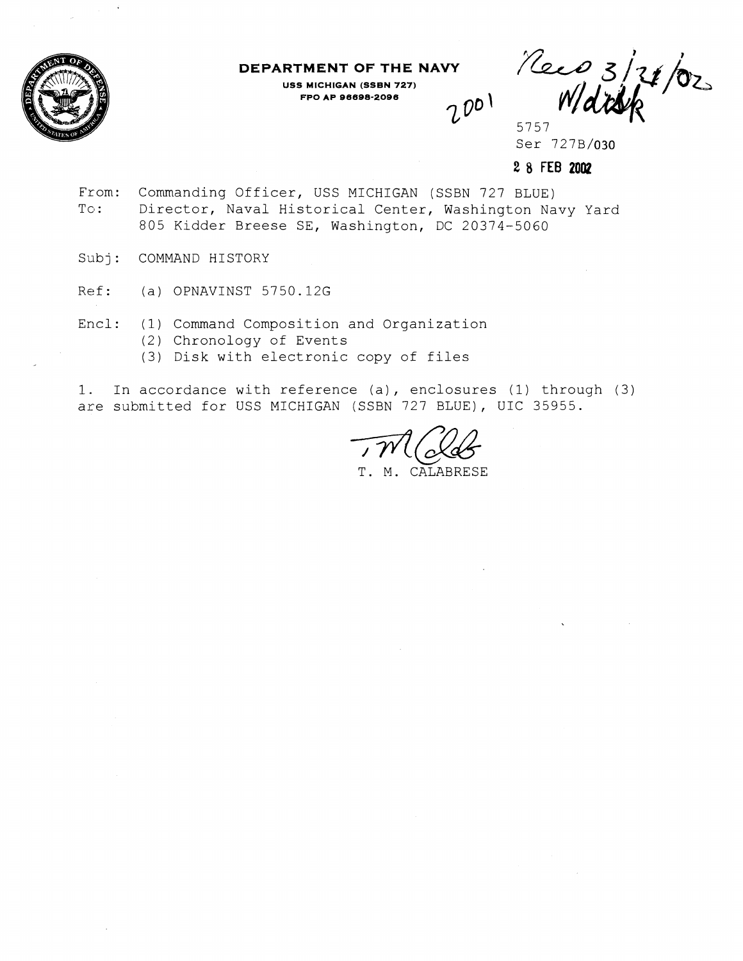

**DEPARTMENT OF THE NAVY** 

**USS MICHIGAN (SSBN 727) FPO AP 96698-2096** 

Mars 121/02

Ser 727B/030

**2 8 FEB 2002** 

 $2001$ 

- From: Commanding Officer, USS MICHIGAN (SSBN 727 BLUE) To: Director, Naval Historical Center, Washington Navy Yard 805 Kidder Breese SE, Washington, DC 20374-5060
- Subj: COMMAND HISTORY
- Ref: (a) OPNAVINST 5750.12G
- Encl: (1) Command Composition and Organization
	- (2) Chronology of Events
	- (3) Disk with electronic copy of files

1. In accordance with reference (a), enclosures (1) through (3) are submitted for USS MICHIGAN (SSBN 727 BLUE), UIC 35955.

T. M. CALABRESE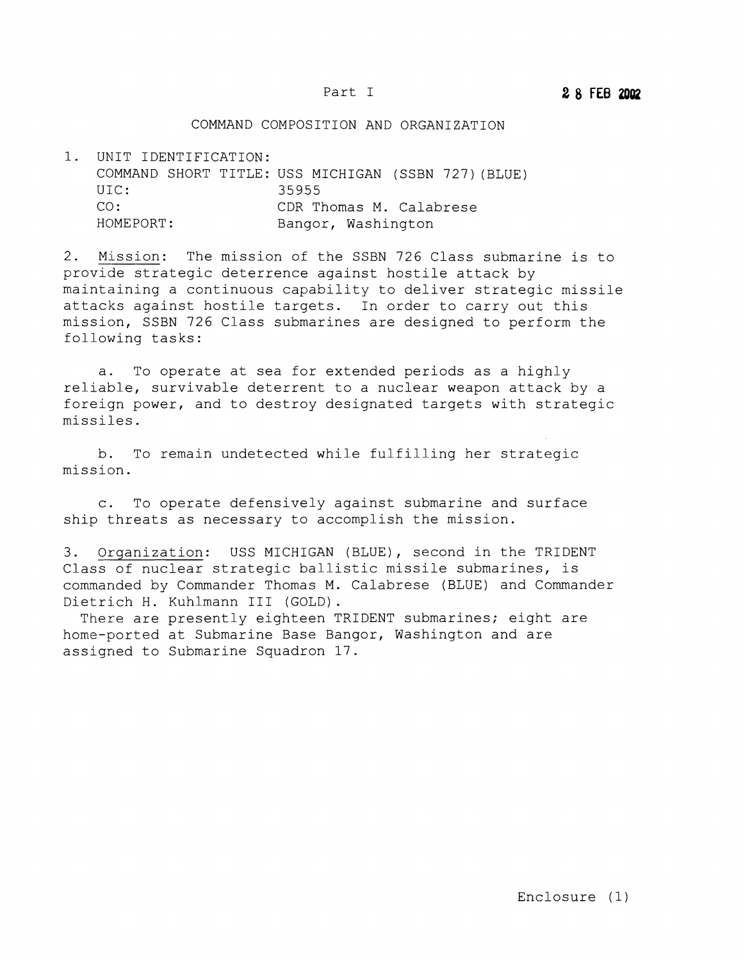## COMMAND COMPOSITION AND ORGANIZATION

1. UNIT IDENTIFICATION: COMMAND SHORT TITLE: USS MICHIGAN (SSBN 727) (BLUE) UIC: 35955 CO: COR Thomas M. Calabrese<br>
HOMEPORT: Bangor, Washington Bangor, Washington

2. Mission: The mission of the SSBN 726 Class submarine is to provide strategic deterrence against hostile attack by maintaining a continuous capability to deliver strategic missile attacks against hostile targets. In order to carry out this mission, SSBN 726 Class submarines are designed to perform the following tasks:

a. To operate at sea for extended periods as a highly reliable, survivable deterrent to a nuclear weapon attack by a foreign power, and to destroy designated targets with strategic missiles.

b. To remain undetected while fulfilling her strategic mission.

c. To operate defensively against submarine and surface ship threats as necessary to accomplish the mission.

3. Organization: USS MICHIGAN (BLUE), second in the TRIDENT classof nuclear strategic ballistic missile submarines, is commanded by Commander Thomas M. Calabrese (BLUE) and Commander Dietrich H. Kuhlmann I11 (GOLD).

There are presently eighteen TRIDENT submarines; eight are home-ported at Submarine Base Bangor, Washington and are assigned to Submarine Squadron 17.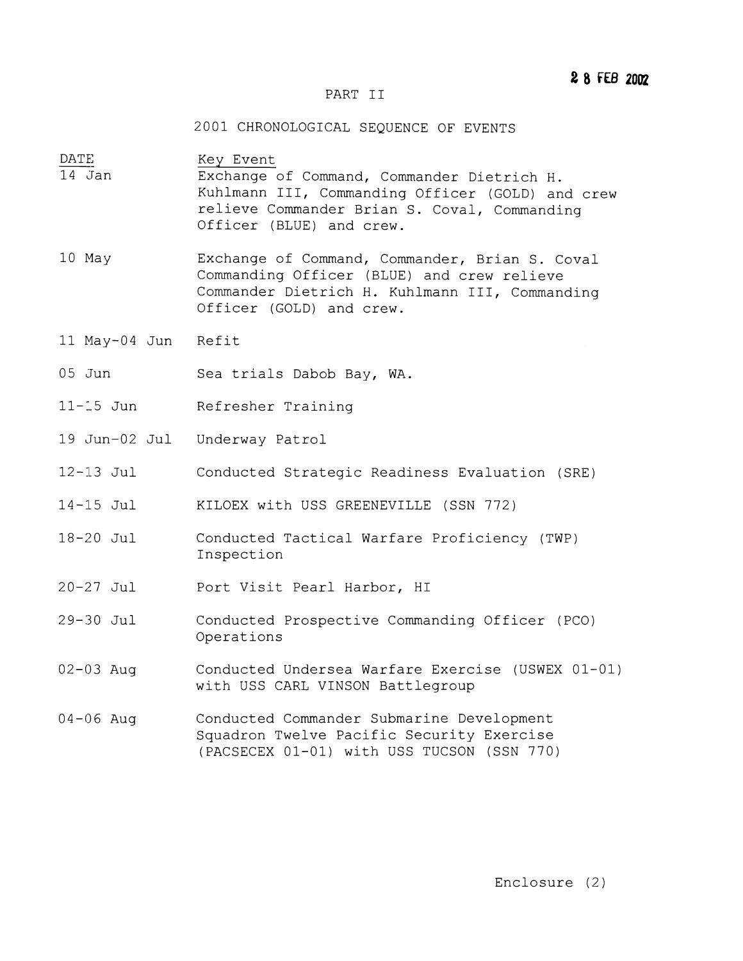## PART I1

2001 CHRONOLOGICAL SEQUENCE OF EVENTS

 $\frac{\text{DATE}}{14 \text{ Jan}}$ Key Event Exchange of Command, Commander Dietrich H. Kuhlmann 111, Commanding Officer (GOLD) and crew relieve Commander Brian S. Coval, Commanding Officer (BLUE) and crew.

- 10 May Exchange of Command, Commander, Brian S. Coval Commanding Officer (BLUE) and crew relieve Commander Dietrich H. Kuhlmann 111, Commanding Officer (GOLD) and crew.
- 11 May-04 Jun Refit
- 05 Jun Sea trials Dabob Bay, WA.
- 11-1-5 Jun Refresher Training
- 19 Jun-02 Jul Underway Patrol
- 12-113 Jul Conducted Strategic Readiness Evaluation (SRE)
- 14-15 Jul KILOEX with USS GREENEVILLE (SSN 772)
- 18-20 Jul Conducted Tactical Warfare Proficiency (TWP) Inspection
- $20 27$  Jul Port Visit Pearl Harbor, HI
- $29 30$  Jul Conducted Prospective Commanding Officer (PCO) Operations
- 02-03 Aug Conducted Undersea Warfare Exercise (USWEX 01-01) with USS CARL VINSON Battlegroup
- 04-06 Aug Conducted Commander Submarine Development Squadron Twelve Pacific Security Exercise (PACSECEX 01-01) with USS TUCSON (SSN 770)